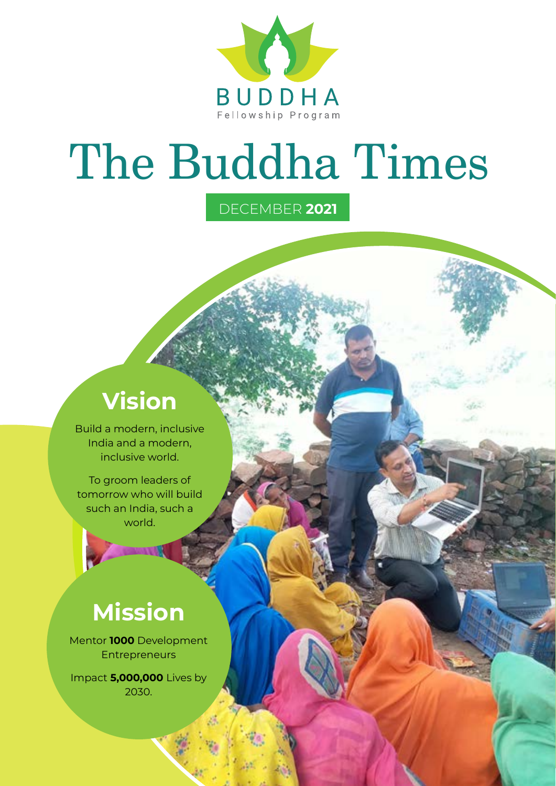

# The Buddha Times

DECEMBER **2021**

### **Vision**

Build a modern, inclusive India and a modern, inclusive world.

To groom leaders of tomorrow who will build such an India, such a world.

### **Mission**

Mentor **1000** Development **Entrepreneurs** 

Impact **5,000,000** Lives by 2030.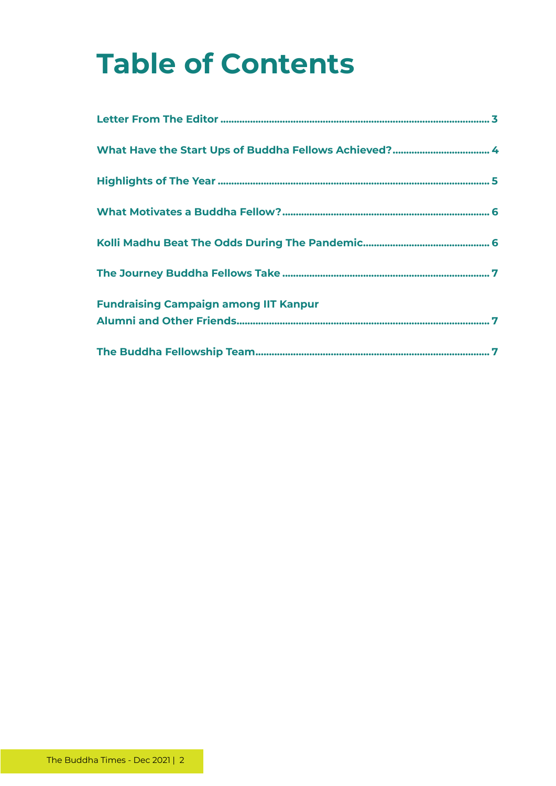# **Table of Contents**

| <b>Fundraising Campaign among IIT Kanpur</b> |
|----------------------------------------------|
|                                              |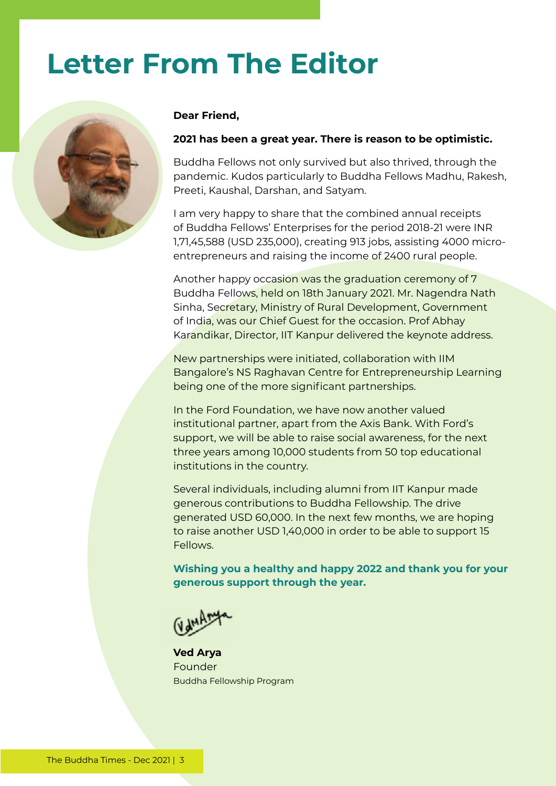### **Letter From The Editor**



#### **Dear Friend,**

#### **2021 has been a great year. There is reason to be optimistic.**

Buddha Fellows not only survived but also thrived, through the pandemic. Kudos particularly to Buddha Fellows Madhu, Rakesh, Preeti, Kaushal, Darshan, and Satyam.

I am very happy to share that the combined annual receipts of Buddha Fellows' Enterprises for the period 2018-21 were INR 1,71,45,588 (USD 235,000), creating 913 jobs, assisting 4000 microentrepreneurs and raising the income of 2400 rural people.

Another happy occasion was the graduation ceremony of 7 Buddha Fellows, held on 18th January 2021. Mr. Nagendra Nath Sinha, Secretary, Ministry of Rural Development, Government of India, was our Chief Guest for the occasion. Prof Abhay Karandikar, Director, IIT Kanpur delivered the keynote address.

New partnerships were initiated, collaboration with IIM Bangalore's NS Raghavan Centre for Entrepreneurship Learning being one of the more significant partnerships.

In the Ford Foundation, we have now another valued institutional partner, apart from the Axis Bank. With Ford's support, we will be able to raise social awareness, for the next three years among 10,000 students from 50 top educational institutions in the country.

Several individuals, including alumni from IIT Kanpur made generous contributions to Buddha Fellowship. The drive generated USD 60,000. In the next few months, we are hoping to raise another USD 1,40,000 in order to be able to support 15 Fellows.

**Wishing you a healthy and happy 2022 and thank you for your generous support through the year.**

**Ved Arya** Founder Buddha Fellowship Program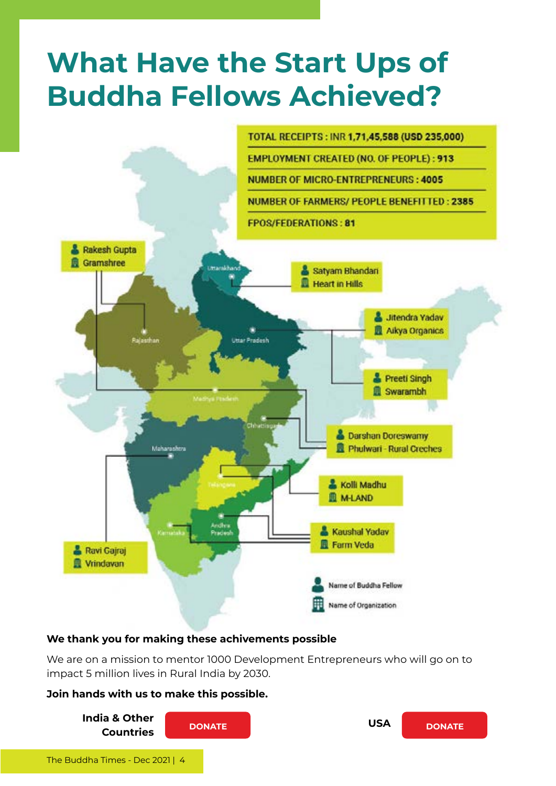### **What Have the Start Ups of Buddha Fellows Achieved?**



#### **We thank you for making these achivements possible**

We are on a mission to mentor 1000 Development Entrepreneurs who will go on to impact 5 million lives in Rural India by 2030.

#### **Join hands with us to make this possible.**

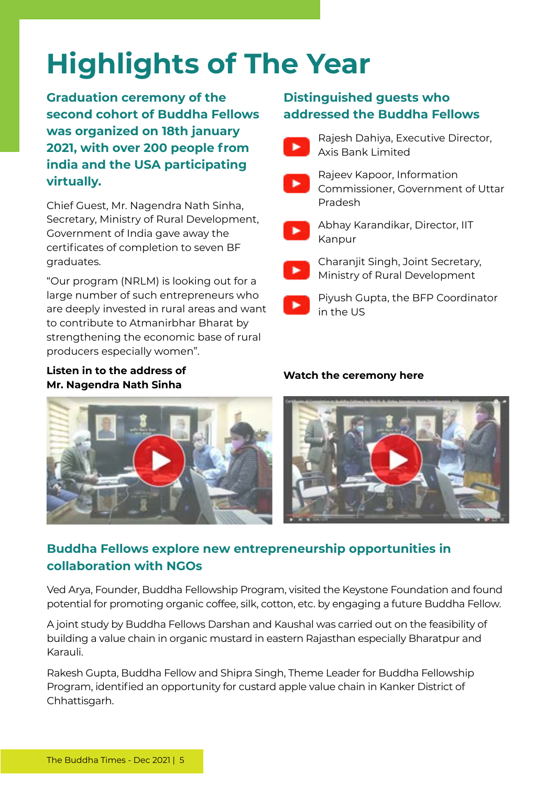# **Highlights of The Year**

**Graduation ceremony of the second cohort of Buddha Fellows was organized on 18th january 2021, with over 200 people from india and the USA participating virtually.**

Chief Guest, Mr. Nagendra Nath Sinha, Secretary, Ministry of Rural Development, Government of India gave away the certificates of completion to seven BF graduates.

"Our program (NRLM) is looking out for a large number of such entrepreneurs who are deeply invested in rural areas and want to contribute to Atmanirbhar Bharat by strengthening the economic base of rural producers especially women".

#### **Listen in to the address of Mr. Nagendra Nath Sinha**

#### **Distinguished guests who addressed the Buddha Fellows**

Rajesh Dahiya, Executive Director, Axis Bank Limited



Rajeev Kapoor, Information Commissioner, Government of Uttar Pradesh



Abhay Karandikar, Director, IIT Kanpur



Charanjit Singh, Joint Secretary, Ministry of Rural Development



Piyush Gupta, the BFP Coordinator in the US

#### **Watch the ceremony here**





#### **Buddha Fellows explore new entrepreneurship opportunities in collaboration with NGOs**

Ved Arya, Founder, Buddha Fellowship Program, visited the Keystone Foundation and found potential for promoting organic coffee, silk, cotton, etc. by engaging a future Buddha Fellow.

A joint study by Buddha Fellows Darshan and Kaushal was carried out on the feasibility of building a value chain in organic mustard in eastern Rajasthan especially Bharatpur and Karauli.

Rakesh Gupta, Buddha Fellow and Shipra Singh, Theme Leader for Buddha Fellowship Program, identified an opportunity for custard apple value chain in Kanker District of Chhattisgarh.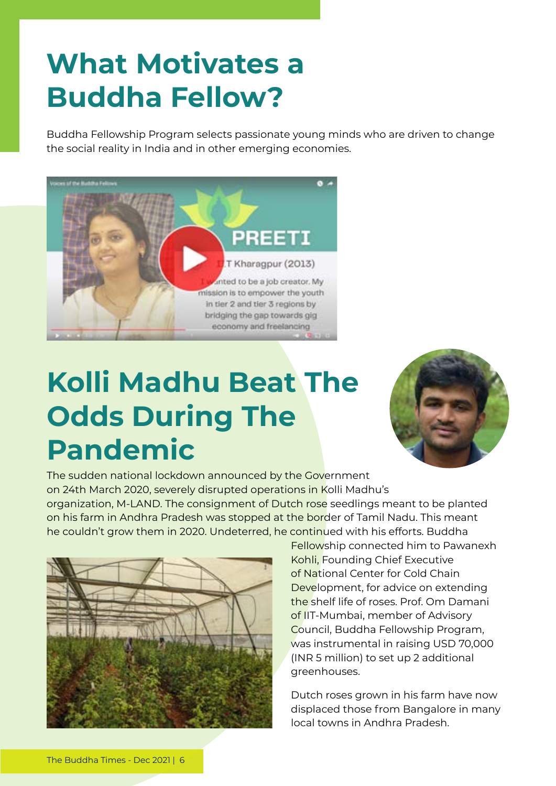### **What Motivates a Buddha Fellow?**

Buddha Fellowship Program selects passionate young minds who are driven to change the social reality in India and in other emerging economies.



### **Kolli Madhu Beat The Odds During The Pandemic**



The sudden national lockdown announced by the Government on 24th March 2020, severely disrupted operations in Kolli Madhu's organization, M-LAND. The consignment of Dutch rose seedlings meant to be planted on his farm in Andhra Pradesh was stopped at the border of Tamil Nadu. This meant he couldn't grow them in 2020. Undeterred, he continued with his efforts. Buddha



Fellowship connected him to Pawanexh Kohli, Founding Chief Executive of National Center for Cold Chain Development, for advice on extending the shelf life of roses. Prof. Om Damani of IIT-Mumbai, member of Advisory Council, Buddha Fellowship Program, was instrumental in raising USD 70,000 (INR 5 million) to set up 2 additional greenhouses.

Dutch roses grown in his farm have now displaced those from Bangalore in many local towns in Andhra Pradesh.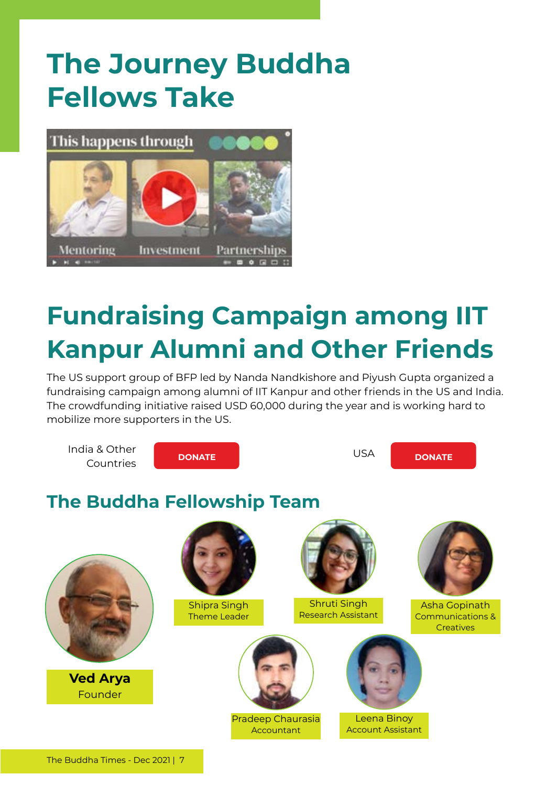### **The Journey Buddha Fellows Take**



### **Fundraising Campaign among IIT Kanpur Alumni and Other Friends**

The US support group of BFP led by Nanda Nandkishore and Piyush Gupta organized a fundraising campaign among alumni of IIT Kanpur and other friends in the US and India. The crowdfunding initiative raised USD 60,000 during the year and is working hard to mobilize more supporters in the US.